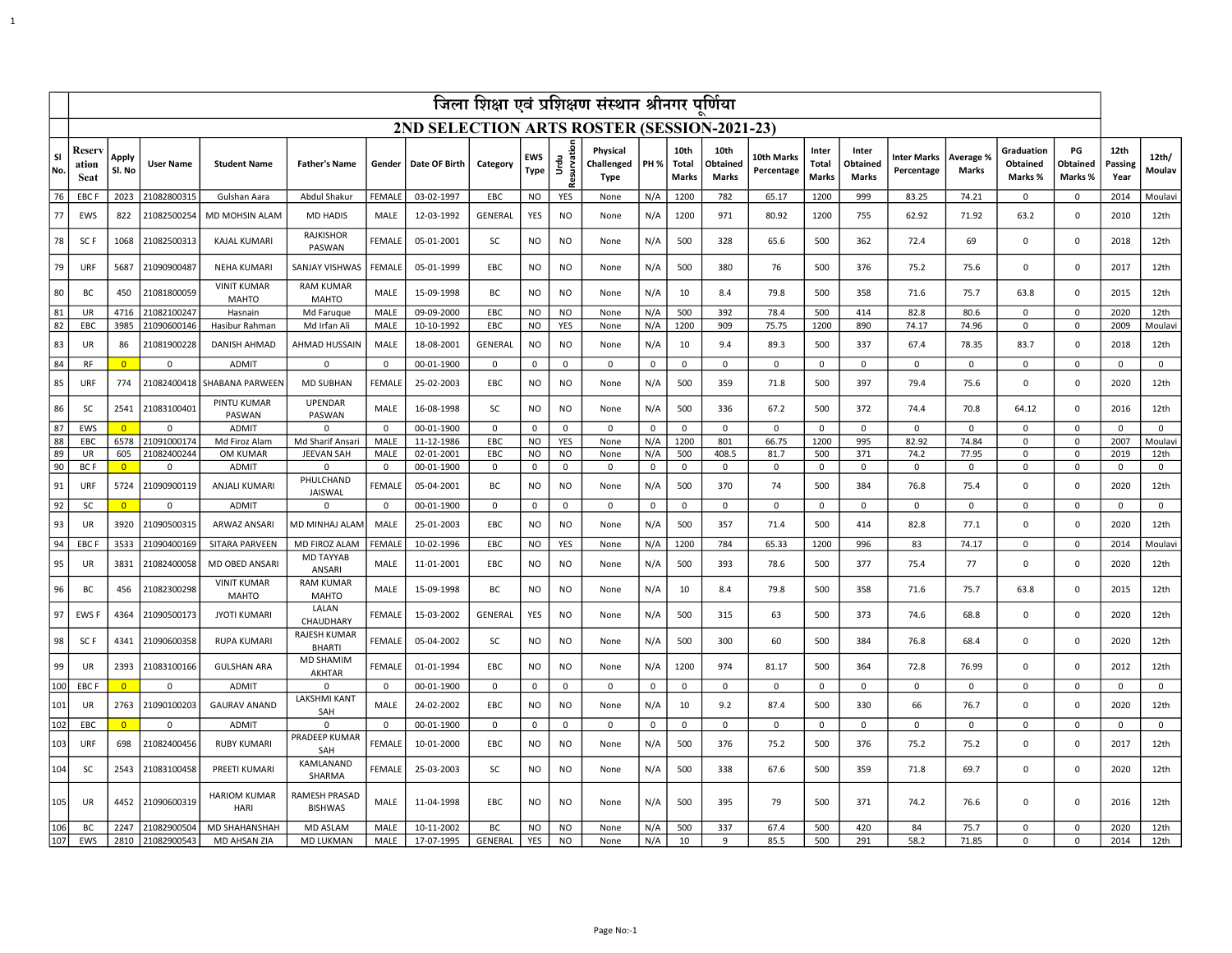| जिला शिक्षा एवं प्रशिक्षण संस्थान श्रीनगर पूर्णिया |                                             |                 |                  |                                    |                                  |               |               |                |             |                     |                                       |             |                               |                                  |                          |                                |                                   |                           |                     |                                   |                           |                         |                     |
|----------------------------------------------------|---------------------------------------------|-----------------|------------------|------------------------------------|----------------------------------|---------------|---------------|----------------|-------------|---------------------|---------------------------------------|-------------|-------------------------------|----------------------------------|--------------------------|--------------------------------|-----------------------------------|---------------------------|---------------------|-----------------------------------|---------------------------|-------------------------|---------------------|
|                                                    | 2ND SELECTION ARTS ROSTER (SESSION-2021-23) |                 |                  |                                    |                                  |               |               |                |             |                     |                                       |             |                               |                                  |                          |                                |                                   |                           |                     |                                   |                           |                         |                     |
| SI<br>No.                                          | Reser<br>ation<br>Seat                      | Apply<br>Sl. No | <b>User Name</b> | <b>Student Name</b>                | <b>Father's Name</b>             | Gender        | Date OF Birth | Category       | EWS<br>Type | Urdu<br>Resurvation | Physical<br>Challenged<br><b>Type</b> | <b>PH %</b> | 10th<br>Total<br><b>Marks</b> | 10th<br>Obtained<br><b>Marks</b> | 10th Marks<br>Percentage | Inter<br>Total<br><b>Marks</b> | Inter<br>Obtained<br><b>Marks</b> | Inter Marks<br>Percentage | Average %<br>Marks  | Graduation<br>Obtained<br>Marks % | PG<br>Obtained<br>Marks % | 12th<br>Passing<br>Year | 12th/<br>Moulav     |
| 76                                                 | EBC I                                       | 2023            | 21082800315      | Gulshan Aara                       | Abdul Shakur                     | FEMAL         | 03-02-1997    | EBC            | <b>NO</b>   | YES                 | None                                  | N/A         | 1200                          | 782                              | 65.17                    | 1200                           | 999                               | 83.25                     | 74.21               | $\mathbf 0$                       | 0                         | 2014                    | Moulavi             |
| 77                                                 | EWS                                         | 822             | 21082500254      | <b>MD MOHSIN ALAM</b>              | <b>MD HADIS</b>                  | MALE          | 12-03-1992    | <b>GENERAL</b> | YES         | <b>NO</b>           | None                                  | N/A         | 1200                          | 971                              | 80.92                    | 1200                           | 755                               | 62.92                     | 71.92               | 63.2                              | 0                         | 2010                    | 12th                |
| 78                                                 | SC F                                        | 1068            | 21082500313      | <b>KAJAL KUMARI</b>                | <b>RAJKISHOR</b><br>PASWAN       | FEMALE        | 05-01-2001    | SC             | NO          | <b>NO</b>           | None                                  | N/A         | 500                           | 328                              | 65.6                     | 500                            | 362                               | 72.4                      | 69                  | $\mathbf 0$                       | 0                         | 2018                    | 12th                |
| 79                                                 | URF                                         | 5687            | 21090900487      | <b>NEHA KUMARI</b>                 | SANJAY VISHWAS                   | FEMALE        | 05-01-1999    | EBC            | NO          | <b>NO</b>           | None                                  | N/A         | 500                           | 380                              | 76                       | 500                            | 376                               | 75.2                      | 75.6                | $\mathbf 0$                       | 0                         | 2017                    | 12th                |
| 80                                                 | BC                                          | 450             | 21081800059      | <b>VINIT KUMAR</b><br><b>MAHTO</b> | <b>RAM KUMAR</b><br><b>MAHTO</b> | MALE          | 15-09-1998    | BC             | NO          | <b>NO</b>           | None                                  | N/A         | 10                            | 8.4                              | 79.8                     | 500                            | 358                               | 71.6                      | 75.7                | 63.8                              | 0                         | 2015                    | 12th                |
| 81                                                 | UR                                          | 4716            | 21082100247      | Hasnain                            | Md Faruque                       | MALE          | 09-09-2000    | EBC            | <b>NO</b>   | N <sub>O</sub>      | None                                  | N/A         | 500                           | 392                              | 78.4                     | 500                            | 414                               | 82.8                      | 80.6                | $\mathbf 0$                       | $\mathbf 0$               | 2020                    | 12th                |
| 82                                                 | EBC                                         | 3985            | 21090600146      | Hasibur Rahman                     | Md Irfan Ali                     | MALE          | 10-10-1992    | EBC            | NO          | YES                 | None                                  | N/A         | 1200                          | 909                              | 75.75                    | 1200                           | 890                               | 74.17                     | 74.96               | $\mathbf 0$                       | 0                         | 2009                    | Moulavi             |
| 83                                                 | UR                                          | 86              | 21081900228      | DANISH AHMAD                       | AHMAD HUSSAIN                    | MALE          | 18-08-2001    | GENERAL        | NO          | <b>NO</b>           | None                                  | N/A         | 10                            | 9.4                              | 89.3                     | 500                            | 337                               | 67.4                      | 78.35               | 83.7                              | 0                         | 2018                    | 12th                |
| 84                                                 | <b>RF</b>                                   | $\overline{0}$  | $\mathbf 0$      | <b>ADMIT</b>                       | $\mathbf 0$                      | $\mathbf 0$   | 00-01-1900    | $\mathbf 0$    | $\mathsf 0$ | $\mathbf{0}$        | $\mathsf 0$                           | 0           | $\mathbf 0$                   | $\mathbf 0$                      | $\mathsf 0$              | $\mathbf 0$                    | $\mathsf 0$                       | $\mathbf 0$               | $\mathbf 0$         | $\mathbf{0}$                      | $\mathbf 0$               | $\Omega$                | $\mathbf 0$         |
| 85                                                 | URF                                         | 774             | 21082400418      | <b>SHABANA PARWEEN</b>             | <b>MD SUBHAN</b>                 | <b>FEMALI</b> | 25-02-2003    | EBC            | NO.         | <b>NO</b>           | None                                  | N/A         | 500                           | 359                              | 71.8                     | 500                            | 397                               | 79.4                      | 75.6                | $\Omega$                          | 0                         | 2020                    | 12th                |
| 86                                                 | <b>SC</b>                                   | 2541            | 21083100401      | PINTU KUMAR<br>PASWAN              | UPENDAR<br>PASWAN                | MALE          | 16-08-1998    | <b>SC</b>      | NO          | <b>NO</b>           | None                                  | N/A         | 500                           | 336                              | 67.2                     | 500                            | 372                               | 74.4                      | 70.8                | 64.12                             | 0                         | 2016                    | 12th                |
| 87                                                 | EWS                                         | $\overline{0}$  | 0                | <b>ADMIT</b>                       | $\Omega$                         | 0             | 00-01-1900    | 0              | $\mathbf 0$ | 0                   | $\mathbf 0$                           | 0           | $\mathbf 0$                   | 0                                | $\mathbf 0$              | $\mathbf 0$                    | 0                                 | 0                         | 0                   | $\mathbf 0$                       | 0                         | 0                       | $\mathbf 0$         |
| 88                                                 | EBC                                         | 6578            | 21091000174      | Md Firoz Alam                      | Md Sharif Ansari                 | MALE          | 11-12-1986    | EBC            | <b>NO</b>   | YES                 | None                                  | N/A         | 1200                          | 801                              | 66.75                    | 1200                           | 995                               | 82.92                     | 74.84               | $\mathbf 0$                       | 0                         | 2007                    | Moulavi             |
| 89                                                 | UR                                          | 605             | 21082400244      | OM KUMAR                           | JEEVAN SAH                       | MALE          | 02-01-2001    | EBC            | NO          | NO                  | None                                  | N/A         | 500                           | 408.5                            | 81.7                     | 500                            | 371                               | 74.2                      | 77.95               | $\mathbf 0$                       | 0                         | 2019                    | 12th                |
| 90                                                 | <b>BCF</b>                                  | $\overline{0}$  | $\Omega$         | <b>ADMIT</b>                       | $\Omega$<br>PHULCHAND            | $\mathbf 0$   | 00-01-1900    | $\Omega$       | 0           | $\mathbf 0$         | 0                                     | 0           | $\mathbf 0$                   | $\mathbf 0$                      | 0                        | $\mathbf 0$                    | 0                                 | 0                         | 0                   | $\Omega$                          | 0                         | $\Omega$                | $\mathbf 0$         |
| 91                                                 | URF                                         | 5724            | 21090900119      | ANJALI KUMARI                      | JAISWAL<br>$\Omega$              | FEMALE        | 05-04-2001    | BC             | NO          | <b>NO</b>           | None                                  | N/A         | 500                           | 370                              | 74                       | 500                            | 384                               | 76.8                      | 75.4<br>$\mathbf 0$ | $\mathbf 0$                       | 0                         | 2020                    | 12th<br>$\mathbf 0$ |
| 92                                                 | <b>SC</b>                                   | $\overline{0}$  | 0                | ADMIT                              |                                  | 0             | 00-01-1900    | 0              | $\mathbf 0$ | 0                   | $\mathbf 0$                           | 0           | 0                             | 0                                | 0                        | 0                              | 0                                 | 0                         |                     | $\mathbf 0$                       | 0                         | 0                       |                     |
| 93                                                 | UR                                          | 3920            | 21090500315      | <b>ARWAZ ANSARI</b>                | MD MINHAJ ALAM                   | MALE          | 25-01-2003    | EBC            | NO.         | <b>NO</b>           | None                                  | N/A         | 500                           | 357                              | 71.4                     | 500                            | 414                               | 82.8                      | 77.1                | $\mathbf 0$                       | 0                         | 2020                    | 12th                |
| 94                                                 | EBC F                                       | 3533            | 21090400169      | SITARA PARVEEN                     | MD FIROZ ALAM                    | FEMALE        | 10-02-1996    | EBC            | <b>NO</b>   | YES                 | None                                  | N/A         | 1200                          | 784                              | 65.33                    | 1200                           | 996                               | 83                        | 74.17               | $\mathbf 0$                       | $\mathbf 0$               | 2014                    | Moulavi             |
| 95                                                 | UR                                          | 3831            | 21082400058      | MD OBED ANSARI                     | <b>MD TAYYAB</b><br>ANSARI       | MALE          | 11-01-2001    | EBC            | NO          | NO                  | None                                  | N/A         | 500                           | 393                              | 78.6                     | 500                            | 377                               | 75.4                      | 77                  | $\Omega$                          | 0                         | 2020                    | 12th                |
| 96                                                 | BC                                          | 456             | 21082300298      | <b>VINIT KUMAR</b><br><b>MAHTO</b> | <b>RAM KUMAR</b><br><b>MAHTO</b> | MALE          | 15-09-1998    | BC             | NO.         | <b>NO</b>           | None                                  | N/A         | 10                            | 8.4                              | 79.8                     | 500                            | 358                               | 71.6                      | 75.7                | 63.8                              | 0                         | 2015                    | 12th                |
| 97                                                 | EWS                                         | 4364            | 21090500173      | <b>JYOTI KUMARI</b>                | LALAN<br>CHAUDHARY               | FEMALE        | 15-03-2002    | GENERAL        | YES         | <b>NO</b>           | None                                  | N/A         | 500                           | 315                              | 63                       | 500                            | 373                               | 74.6                      | 68.8                | $\mathbf 0$                       | 0                         | 2020                    | 12th                |
| 98                                                 | SC <sub>F</sub>                             | 4341            | 21090600358      | <b>RUPA KUMARI</b>                 | RAJESH KUMAR<br><b>BHARTI</b>    | FEMALE        | 05-04-2002    | <b>SC</b>      | NO.         | <b>NO</b>           | None                                  | N/A         | 500                           | 300                              | 60                       | 500                            | 384                               | 76.8                      | 68.4                | $\mathbf 0$                       | 0                         | 2020                    | 12th                |
| 99                                                 | UR                                          | 2393            | 21083100166      | <b>GULSHAN ARA</b>                 | MD SHAMIN<br><b>AKHTAR</b>       | FEMALE        | 01-01-1994    | EBC            | NO          | <b>NO</b>           | None                                  | N/A         | 1200                          | 974                              | 81.17                    | 500                            | 364                               | 72.8                      | 76.99               | $\Omega$                          | $\mathbf 0$               | 2012                    | 12th                |
| 100                                                | EBC <sub>F</sub>                            | $\overline{0}$  | 0                | ADMIT                              | 0                                | 0             | 00-01-1900    | $\mathsf 0$    | $\mathbf 0$ | 0                   | $\mathbf 0$                           | 0           | 0                             | 0                                | 0                        | 0                              | 0                                 | $\mathbf 0$               | 0                   | $\mathbf 0$                       | 0                         | 0                       | 0                   |
| 101                                                | UR                                          | 2763            | 21090100203      | <b>GAURAV ANAND</b>                | <b>LAKSHMI KANT</b><br>SAH       | MALE          | 24-02-2002    | EBC            | NO.         | <b>NO</b>           | None                                  | N/A         | 10                            | 9.2                              | 87.4                     | 500                            | 330                               | 66                        | 76.7                | $\mathbf 0$                       | 0                         | 2020                    | 12th                |
| 102                                                | EBC                                         | $\overline{0}$  | 0                | ADMIT                              | $\Omega$                         | 0             | 00-01-1900    | 0              | $\mathbf 0$ | $\mathbf 0$         | $\mathbf 0$                           | 0           | $\mathbf 0$                   | 0                                | 0                        | 0                              | 0                                 | 0                         | 0                   | $\mathbf 0$                       | 0                         | 0                       | 0                   |
| 103                                                | URF                                         | 698             | 21082400456      | <b>RUBY KUMARI</b>                 | PRADEEP KUMAR<br>SAH             | <b>FEMAL</b>  | 10-01-2000    | EBC            | NO          | <b>NO</b>           | None                                  | N/A         | 500                           | 376                              | 75.2                     | 500                            | 376                               | 75.2                      | 75.2                | $\mathbf 0$                       | $\mathsf 0$               | 2017                    | 12th                |
| 104                                                | <b>SC</b>                                   | 2543            | 21083100458      | PREETI KUMARI                      | KAMLANAND<br>SHARMA              | FEMALE        | 25-03-2003    | <b>SC</b>      | NO.         | <b>NO</b>           | None                                  | N/A         | 500                           | 338                              | 67.6                     | 500                            | 359                               | 71.8                      | 69.7                | $\Omega$                          | 0                         | 2020                    | 12th                |
| 105                                                | UR                                          | 4452            | 21090600319      | <b>HARIOM KUMAR</b><br><b>HARI</b> | RAMESH PRASAD<br><b>BISHWAS</b>  | MALE          | 11-04-1998    | EBC            | NO.         | <b>NO</b>           | None                                  | N/A         | 500                           | 395                              | 79                       | 500                            | 371                               | 74.2                      | 76.6                | $\Omega$                          | 0                         | 2016                    | 12th                |
| 106                                                | BC                                          | 2247            | 21082900504      | <b>MD SHAHANSHAH</b>               | <b>MD ASLAM</b>                  | MALE          | 10-11-2002    | BC             | <b>NO</b>   | <b>NO</b>           | None                                  | N/A         | 500                           | 337                              | 67.4                     | 500                            | 420                               | 84                        | 75.7                | $\mathbf 0$                       | 0                         | 2020                    | 12th                |
| 107                                                | EWS                                         | 2810            | 21082900543      | MD AHSAN ZIA                       | <b>MD LUKMAN</b>                 | MALE          | 17-07-1995    | GENERAL        | YES         | <b>NO</b>           | None                                  | N/A         | 10                            | 9                                | 85.5                     | 500                            | 291                               | 58.2                      | 71.85               | $\mathbf 0$                       | 0                         | 2014                    | 12th                |

1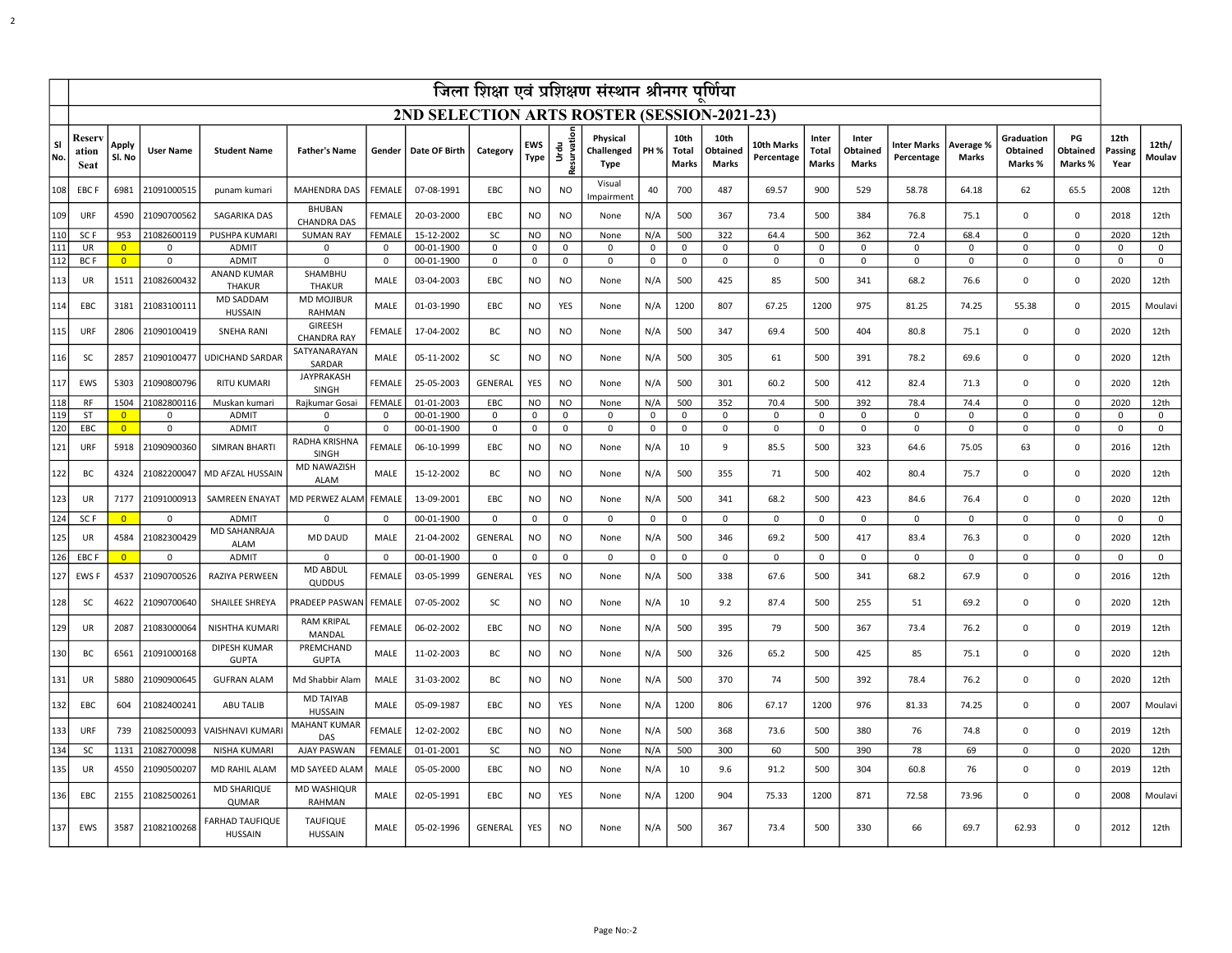|                  | जिला शिक्षा एवं प्रशिक्षण संस्थान श्रीनगर पूर्णिया |                 |                  |                                          |                                      |               |               |                |                    |                              |                                |             |                                      |                                  |                          |                         |                            |                                  |                    |                                   |                           |                         |                 |
|------------------|----------------------------------------------------|-----------------|------------------|------------------------------------------|--------------------------------------|---------------|---------------|----------------|--------------------|------------------------------|--------------------------------|-------------|--------------------------------------|----------------------------------|--------------------------|-------------------------|----------------------------|----------------------------------|--------------------|-----------------------------------|---------------------------|-------------------------|-----------------|
|                  | 2ND SELECTION ARTS ROSTER (SESSION-2021-23)        |                 |                  |                                          |                                      |               |               |                |                    |                              |                                |             |                                      |                                  |                          |                         |                            |                                  |                    |                                   |                           |                         |                 |
| <b>SI</b><br>No. | Reser<br>ation<br><b>Seat</b>                      | Apply<br>Sl. No | <b>User Name</b> | <b>Student Name</b>                      | <b>Father's Name</b>                 | Gender        | Date OF Birth | Category       | EWS<br><b>Type</b> | <br>  Urdu  <br> Resurvation | Physical<br>Challenged<br>Type | <b>PH %</b> | 10th<br><b>Total</b><br><b>Marks</b> | 10th<br>Obtained<br><b>Marks</b> | 10th Marks<br>Percentage | Inter<br>Total<br>Marks | Inter<br>Obtained<br>Marks | <b>Inter Marks</b><br>Percentage | Average %<br>Marks | Graduation<br>Obtained<br>Marks % | PG<br>Obtained<br>Marks % | 12th<br>Passing<br>Year | 12th/<br>Moulav |
| 108              | EBC F                                              | 6981            | 21091000515      | punam kumari                             | MAHENDRA DAS                         | <b>FEMALE</b> | 07-08-1991    | EBC            | <b>NO</b>          | <b>NO</b>                    | Visual<br>Impairment           | 40          | 700                                  | 487                              | 69.57                    | 900                     | 529                        | 58.78                            | 64.18              | 62                                | 65.5                      | 2008                    | 12th            |
| 109              | URF                                                | 4590            | 21090700562      | SAGARIKA DAS                             | <b>BHUBAN</b><br><b>CHANDRA DAS</b>  | FEMALE        | 20-03-2000    | EBC            | <b>NO</b>          | <b>NO</b>                    | None                           | N/A         | 500                                  | 367                              | 73.4                     | 500                     | 384                        | 76.8                             | 75.1               | $\mathsf 0$                       | 0                         | 2018                    | 12th            |
| 110              | SC <sub>F</sub>                                    | 953             | 21082600119      | PUSHPA KUMARI                            | <b>SUMAN RAY</b>                     | FEMALE        | 15-12-2002    | <b>SC</b>      | <b>NO</b>          | <b>NO</b>                    | None                           | N/A         | 500                                  | 322                              | 64.4                     | 500                     | 362                        | 72.4                             | 68.4               | $\mathbf 0$                       | 0                         | 2020                    | 12th            |
| 111              | UR                                                 | $\Omega$        | 0                | <b>ADMIT</b>                             | 0                                    | 0             | 00-01-1900    | 0              | $\mathbf 0$        | 0                            | $\mathbf{0}$                   | 0           | 0                                    | $\mathbf 0$                      | 0                        | $\Omega$                | 0                          | 0                                | 0                  | $\mathbf 0$                       | 0                         | $\Omega$                | 0               |
| 112              | <b>BCF</b>                                         | $\overline{0}$  | 0                | <b>ADMIT</b>                             | $\Omega$                             | $^{\circ}$    | 00-01-1900    | 0              | $\mathbf 0$        | 0                            | $\mathbf 0$                    | 0           | 0                                    | 0                                | 0                        | 0                       | 0                          | $\mathbf 0$                      | $\Omega$           | $\mathbf 0$                       | 0                         | 0                       | 0               |
| 113              | UR                                                 | 1511            | 21082600432      | <b>ANAND KUMAR</b><br><b>THAKUR</b>      | SHAMBHU<br><b>THAKUR</b>             | MALE          | 03-04-2003    | EBC            | NO.                | <b>NO</b>                    | None                           | N/A         | 500                                  | 425                              | 85                       | 500                     | 341                        | 68.2                             | 76.6               | $\Omega$                          | 0                         | 2020                    | 12th            |
| 114              | EBC                                                | 3181            | 21083100111      | <b>MD SADDAM</b><br><b>HUSSAIN</b>       | <b>MD MOJIBUR</b><br>RAHMAN          | MALE          | 01-03-1990    | EBC            | NO                 | YES                          | None                           | N/A         | 1200                                 | 807                              | 67.25                    | 1200                    | 975                        | 81.25                            | 74.25              | 55.38                             | 0                         | 2015                    | Moulavi         |
| 115              | URF                                                | 2806            | 21090100419      | <b>SNEHA RANI</b>                        | <b>GIREESH</b><br><b>CHANDRA RAY</b> | FEMALE        | 17-04-2002    | BC             | NO                 | <b>NO</b>                    | None                           | N/A         | 500                                  | 347                              | 69.4                     | 500                     | 404                        | 80.8                             | 75.1               | $\mathbf 0$                       | 0                         | 2020                    | 12th            |
| 116              | <b>SC</b>                                          | 2857            | 21090100477      | <b>UDICHAND SARDAR</b>                   | SATYANARAYAN<br>SARDAR               | MALE          | 05-11-2002    | <b>SC</b>      | NO.                | <b>NO</b>                    | None                           | N/A         | 500                                  | 305                              | 61                       | 500                     | 391                        | 78.2                             | 69.6               | $\mathbf 0$                       | 0                         | 2020                    | 12th            |
| 117              | EWS                                                | 5303            | 21090800796      | <b>RITU KUMARI</b>                       | JAYPRAKASH<br>SINGH                  | <b>FEMALE</b> | 25-05-2003    | <b>GENERAL</b> | YES                | <b>NO</b>                    | None                           | N/A         | 500                                  | 301                              | 60.2                     | 500                     | 412                        | 82.4                             | 71.3               | $\mathbf 0$                       | 0                         | 2020                    | 12th            |
| 118              | <b>RF</b>                                          | 1504            | 21082800116      | Muskan kumari                            | Rajkumar Gosai                       | <b>FEMALI</b> | 01-01-2003    | EBC            | <b>NO</b>          | NO                           | None                           | N/A         | 500                                  | 352                              | 70.4                     | 500                     | 392                        | 78.4                             | 74.4               | $\Omega$                          | 0                         | 2020                    | 12th            |
| 119              | <b>ST</b>                                          | $\overline{0}$  | $\Omega$         | <b>ADMIT</b>                             | $\Omega$                             | $\Omega$      | 00-01-1900    | $\Omega$       | $\mathbf 0$        | $\Omega$                     | $\mathbf 0$                    | 0           | $\Omega$                             | $\mathbf 0$                      | $\mathbf 0$              | $\mathbf 0$             | $\Omega$                   | $\mathbf 0$                      | $\mathbf 0$        | $\mathbf 0$                       | $\mathbf 0$               | $\Omega$                | $\mathbf 0$     |
| 120              | EBC                                                | $\overline{0}$  | $\mathbf 0$      | <b>ADMIT</b>                             | $\Omega$                             | $\mathbf 0$   | 00-01-1900    | $\Omega$       | $\mathbf 0$        | 0                            | 0                              | 0           | $\mathbf 0$                          | 0                                | 0                        | $\mathbf 0$             | 0                          | $\mathbf 0$                      | $\mathbf 0$        | $\Omega$                          | 0                         | $\mathbf 0$             | 0               |
| 121              | URF                                                | 5918            | 21090900360      | SIMRAN BHARTI                            | RADHA KRISHNA<br><b>SINGH</b>        | FEMALE        | 06-10-1999    | EBC            | NO                 | <b>NO</b>                    | None                           | N/A         | 10                                   | 9                                | 85.5                     | 500                     | 323                        | 64.6                             | 75.05              | 63                                | 0                         | 2016                    | 12th            |
| 122              | BC                                                 | 4324            | 21082200047      | MD AFZAL HUSSAIN                         | MD NAWAZISH<br><b>ALAM</b>           | MALE          | 15-12-2002    | ВC             | NO                 | <b>NO</b>                    | None                           | N/A         | 500                                  | 355                              | 71                       | 500                     | 402                        | 80.4                             | 75.7               | 0                                 | 0                         | 2020                    | 12th            |
| 123              | UR                                                 | 7177            | 21091000913      | SAMREEN ENAYAT                           | MD PERWEZ ALAM                       | <b>FEMALE</b> | 13-09-2001    | EBC            | NO                 | <b>NO</b>                    | None                           | N/A         | 500                                  | 341                              | 68.2                     | 500                     | 423                        | 84.6                             | 76.4               | $\mathbf 0$                       | 0                         | 2020                    | 12th            |
| 124              | SC <sub>F</sub>                                    | $\overline{0}$  | 0                | <b>ADMIT</b>                             | 0                                    | 0             | 00-01-1900    | 0              | $\mathbf 0$        | 0                            | $\mathbf 0$                    | 0           | $\mathbf 0$                          | 0                                | $\mathbf 0$              | 0                       | 0                          | 0                                | 0                  | 0                                 | 0                         | 0                       | 0               |
| 125              | UR                                                 | 4584            | 21082300429      | MD SAHANRAJA<br><b>ALAM</b>              | <b>MD DAUD</b>                       | MALE          | 21-04-2002    | <b>GENERAL</b> | NO.                | <b>NO</b>                    | None                           | N/A         | 500                                  | 346                              | 69.2                     | 500                     | 417                        | 83.4                             | 76.3               | $\Omega$                          | $\mathbf 0$               | 2020                    | 12th            |
| 126              | EBC F                                              | $\overline{0}$  | 0                | <b>ADMIT</b>                             | $\mathbf 0$                          | 0             | 00-01-1900    | 0              | $\mathbf 0$        | 0                            | $\mathbf 0$                    | 0           | 0                                    | 0                                | 0                        | 0                       | 0                          | 0                                | 0                  | $\mathbf 0$                       | 0                         | 0                       | 0               |
| 127              | EWS                                                | 4537            | 21090700526      | RAZIYA PERWEEN                           | MD ABDUL<br>QUDDUS                   | FEMALE        | 03-05-1999    | <b>GENERAL</b> | YES                | <b>NO</b>                    | None                           | N/A         | 500                                  | 338                              | 67.6                     | 500                     | 341                        | 68.2                             | 67.9               | $\mathbf 0$                       | 0                         | 2016                    | 12th            |
| 128              | <b>SC</b>                                          | 4622            | 21090700640      | SHAILEE SHREYA                           | PRADEEP PASWAN                       | <b>FEMALE</b> | 07-05-2002    | SC             | NO                 | <b>NO</b>                    | None                           | N/A         | 10                                   | 9.2                              | 87.4                     | 500                     | 255                        | 51                               | 69.2               | $\mathbf 0$                       | 0                         | 2020                    | 12th            |
| 129              | UR                                                 | 2087            | 21083000064      | NISHTHA KUMARI                           | <b>RAM KRIPAL</b><br>MANDAL          | FEMALE        | 06-02-2002    | EBC            | NO.                | <b>NO</b>                    | None                           | N/A         | 500                                  | 395                              | 79                       | 500                     | 367                        | 73.4                             | 76.2               | $\mathsf 0$                       | 0                         | 2019                    | 12th            |
| 130              | BC                                                 | 6561            | 21091000168      | DIPESH KUMAR<br><b>GUPTA</b>             | PREMCHAND<br><b>GUPTA</b>            | MALE          | 11-02-2003    | BC             | NO                 | <b>NO</b>                    | None                           | N/A         | 500                                  | 326                              | 65.2                     | 500                     | 425                        | 85                               | 75.1               | $\Omega$                          | 0                         | 2020                    | 12th            |
| 131              | UR                                                 | 5880            | 21090900645      | <b>GUFRAN ALAM</b>                       | Md Shabbir Alam                      | MALE          | 31-03-2002    | BC             | <b>NO</b>          | <b>NO</b>                    | None                           | N/A         | 500                                  | 370                              | 74                       | 500                     | 392                        | 78.4                             | 76.2               | $\mathsf 0$                       | 0                         | 2020                    | 12th            |
| 132              | EBC                                                | 604             | 21082400241      | ABU TALIB                                | <b>MD TAIYAB</b><br><b>HUSSAIN</b>   | MALE          | 05-09-1987    | EBC            | NO                 | YES                          | None                           | N/A         | 1200                                 | 806                              | 67.17                    | 1200                    | 976                        | 81.33                            | 74.25              | $\mathbf 0$                       | 0                         | 2007                    | Moulavi         |
| 133              | URF                                                | 739             | 21082500093      | VAISHNAVI KUMARI                         | <b>MAHANT KUMAR</b><br>DAS           | FEMALE        | 12-02-2002    | EBC            | NO.                | <b>NO</b>                    | None                           | N/A         | 500                                  | 368                              | 73.6                     | 500                     | 380                        | 76                               | 74.8               | $\mathsf 0$                       | 0                         | 2019                    | 12th            |
| 134              | SC                                                 | 1131            | 21082700098      | NISHA KUMARI                             | AJAY PASWAN                          | FEMALE        | 01-01-2001    | SC             | NO.                | NO.                          | None                           | N/A         | 500                                  | 300                              | 60                       | 500                     | 390                        | 78                               | 69                 | $\mathbf 0$                       | 0                         | 2020                    | 12th            |
| 135              | UR                                                 | 4550            | 21090500207      | MD RAHIL ALAM                            | MD SAYEED ALAM                       | MALE          | 05-05-2000    | EBC            | N <sub>O</sub>     | N <sub>O</sub>               | None                           | N/A         | 10                                   | 9.6                              | 91.2                     | 500                     | 304                        | 60.8                             | 76                 | $\Omega$                          | $\mathbf 0$               | 2019                    | 12th            |
| 136              | EBC                                                | 2155            | 21082500261      | <b>MD SHARIQUE</b><br><b>QUMAR</b>       | MD WASHIQUR<br>RAHMAN                | MALE          | 02-05-1991    | EBC            | NO                 | YES                          | None                           | N/A         | 1200                                 | 904                              | 75.33                    | 1200                    | 871                        | 72.58                            | 73.96              | 0                                 | 0                         | 2008                    | Moulavi         |
| 137              | EWS                                                | 3587            | 21082100268      | <b>FARHAD TAUFIQUE</b><br><b>HUSSAIN</b> | <b>TAUFIQUE</b><br><b>HUSSAIN</b>    | MALE          | 05-02-1996    | GENERAL        | YES                | <b>NO</b>                    | None                           | N/A         | 500                                  | 367                              | 73.4                     | 500                     | 330                        | 66                               | 69.7               | 62.93                             | 0                         | 2012                    | 12th            |

2